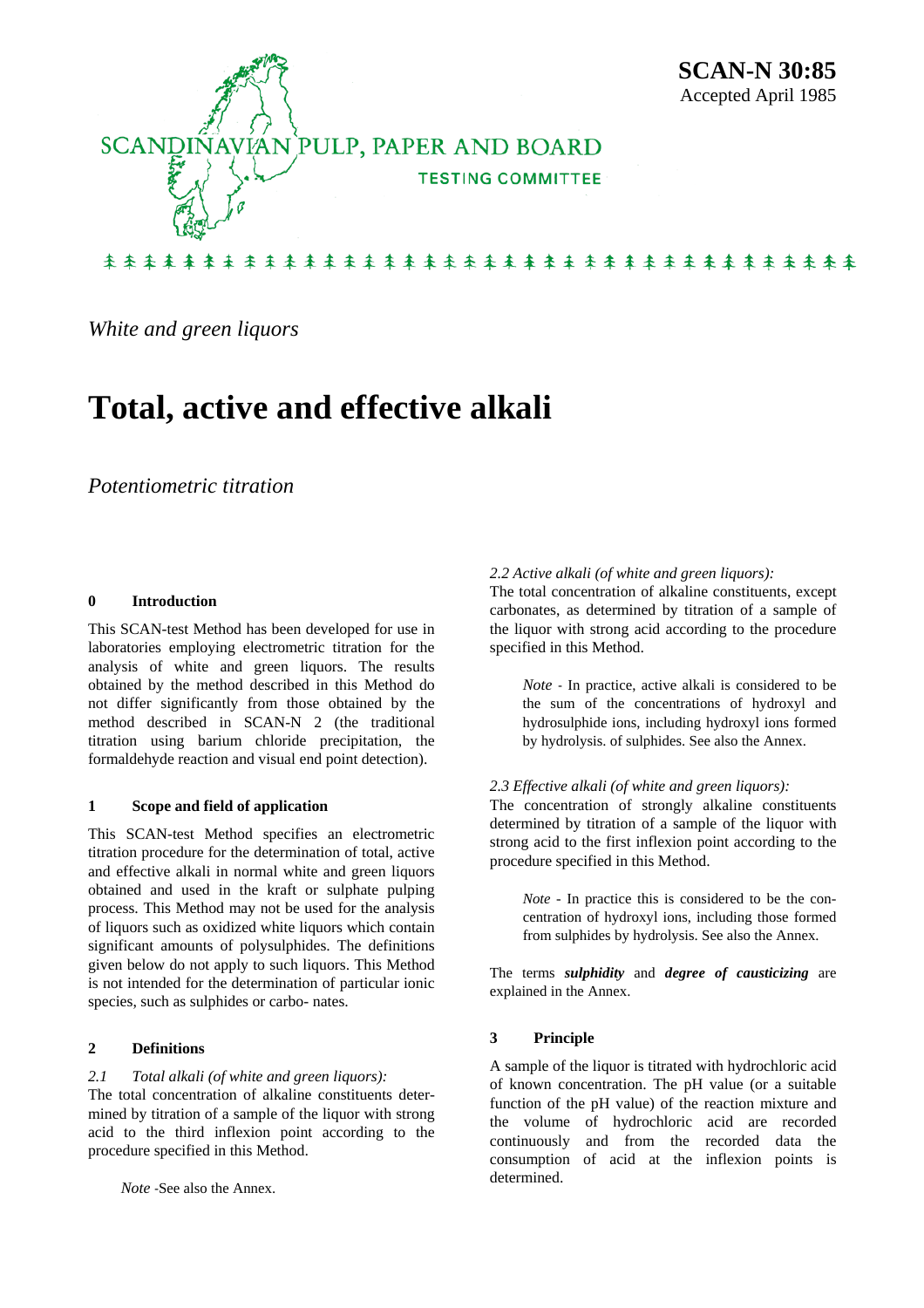

# 来来杀来来来来来来来来来来来来来来来来来来来来来来来来来来来来来来来来

*White and green liquors* 

# **Total, active and effective alkali**

# *Potentiometric titration*

#### **0 Introduction**

This SCAN-test Method has been developed for use in laboratories employing electrometric titration for the analysis of white and green liquors. The results obtained by the method described in this Method do not differ significantly from those obtained by the method described in SCAN-N 2 (the traditional titration using barium chloride precipitation, the formaldehyde reaction and visual end point detection).

#### **1 Scope and field of application**

This SCAN-test Method specifies an electrometric titration procedure for the determination of total, active and effective alkali in normal white and green liquors obtained and used in the kraft or sulphate pulping process. This Method may not be used for the analysis of liquors such as oxidized white liquors which contain significant amounts of polysulphides. The definitions given below do not apply to such liquors. This Method is not intended for the determination of particular ionic species, such as sulphides or carbo- nates.

## **2 Definitions**

#### *2.1 Total alkali (of white and green liquors):*

The total concentration of alkaline constituents determined by titration of a sample of the liquor with strong acid to the third inflexion point according to the procedure specified in this Method.

*Note* -See also the Annex.

#### *2.2 Active alkali (of white and green liquors):*

The total concentration of alkaline constituents, except carbonates, as determined by titration of a sample of the liquor with strong acid according to the procedure specified in this Method.

*Note* - In practice, active alkali is considered to be the sum of the concentrations of hydroxyl and hydrosulphide ions, including hydroxyl ions formed by hydrolysis. of sulphides. See also the Annex.

#### *2.3 Effective alkali (of white and green liquors):*

The concentration of strongly alkaline constituents determined by titration of a sample of the liquor with strong acid to the first inflexion point according to the procedure specified in this Method.

*Note* - In practice this is considered to be the concentration of hydroxyl ions, including those formed from sulphides by hydrolysis. See also the Annex.

The terms *sulphidity* and *degree of causticizing* are explained in the Annex.

#### **3 Principle**

A sample of the liquor is titrated with hydrochloric acid of known concentration. The pH value (or a suitable function of the pH value) of the reaction mixture and the volume of hydrochloric acid are recorded continuously and from the recorded data the consumption of acid at the inflexion points is determined.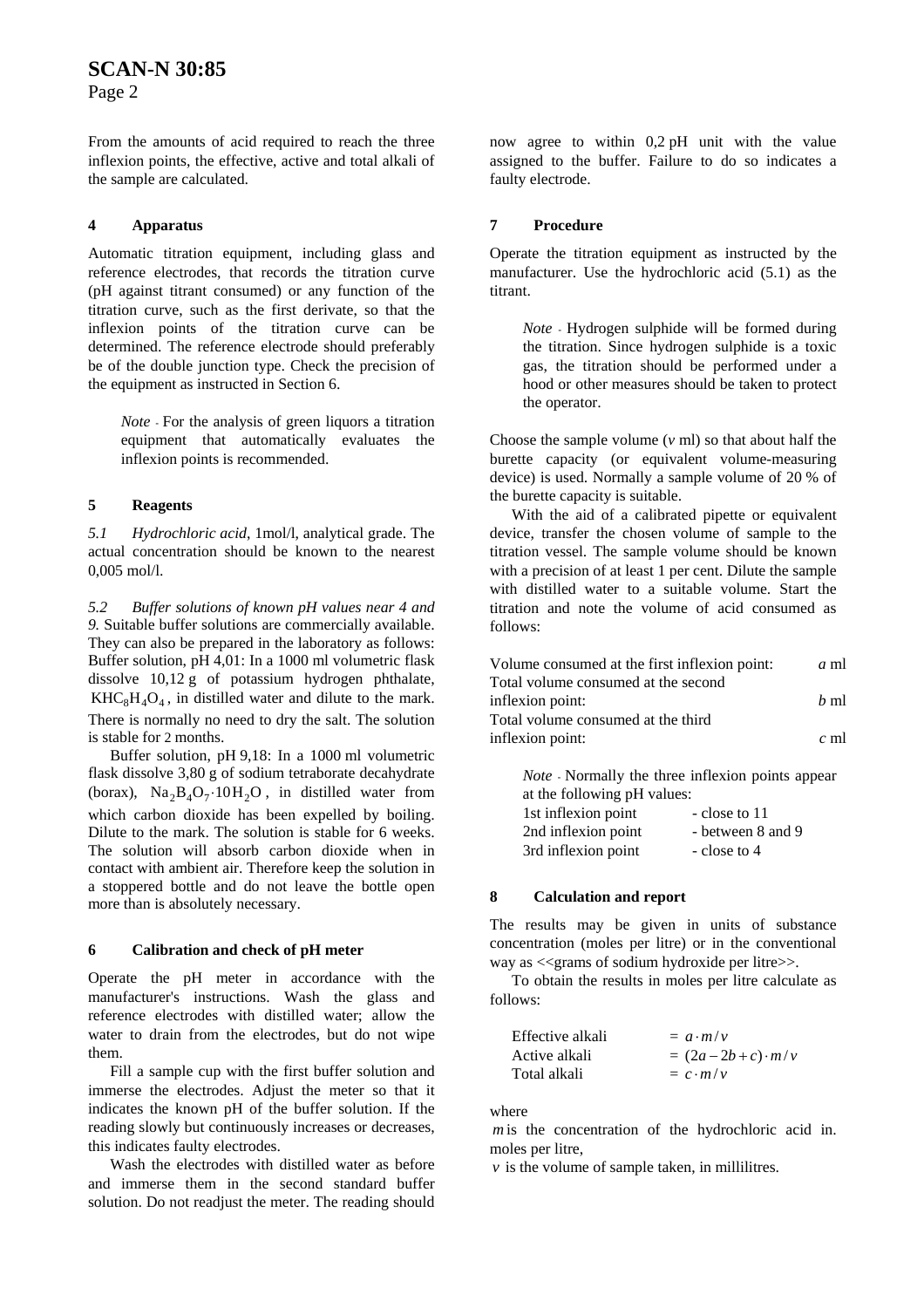Page 2

From the amounts of acid required to reach the three inflexion points, the effective, active and total alkali of the sample are calculated.

## **4 Apparatus**

Automatic titration equipment, including glass and reference electrodes, that records the titration curve (pH against titrant consumed) or any function of the titration curve, such as the first derivate, so that the inflexion points of the titration curve can be determined. The reference electrode should preferably be of the double junction type. Check the precision of the equipment as instructed in Section 6.

*Note* - For the analysis of green liquors a titration equipment that automatically evaluates the inflexion points is recommended.

## **5 Reagents**

*5.1 Hydrochloric acid*, 1mol/l, analytical grade. The actual concentration should be known to the nearest 0,005 mol/l.

*5.2 Buffer solutions of known pH values near 4 and 9.* Suitable buffer solutions are commercially available. They can also be prepared in the laboratory as follows: Buffer solution, pH 4,01: In a 1000 ml volumetric flask dissolve 10,12 g of potassium hydrogen phthalate,  $KHC_8H_4O_4$ , in distilled water and dilute to the mark. There is normally no need to dry the salt. The solution is stable for 2 months.

Buffer solution, pH 9,18: In a 1000 ml volumetric flask dissolve 3,80 g of sodium tetraborate decahydrate (borax),  $\text{Na}_2\text{B}_4\text{O}_7 \cdot 10\text{H}_2\text{O}$ , in distilled water from which carbon dioxide has been expelled by boiling. Dilute to the mark. The solution is stable for 6 weeks. The solution will absorb carbon dioxide when in contact with ambient air. Therefore keep the solution in a stoppered bottle and do not leave the bottle open more than is absolutely necessary.

# **6 Calibration and check of pH meter**

Operate the pH meter in accordance with the manufacturer's instructions. Wash the glass and reference electrodes with distilled water; allow the water to drain from the electrodes, but do not wipe them.

Fill a sample cup with the first buffer solution and immerse the electrodes. Adjust the meter so that it indicates the known pH of the buffer solution. If the reading slowly but continuously increases or decreases, this indicates faulty electrodes.

Wash the electrodes with distilled water as before and immerse them in the second standard buffer solution. Do not readiust the meter. The reading should now agree to within 0,2 pH unit with the value assigned to the buffer. Failure to do so indicates a faulty electrode.

# **7 Procedure**

Operate the titration equipment as instructed by the manufacturer. Use the hydrochloric acid (5.1) as the titrant.

*Note* - Hydrogen sulphide will be formed during the titration. Since hydrogen sulphide is a toxic gas, the titration should be performed under a hood or other measures should be taken to protect the operator.

Choose the sample volume (*v* ml) so that about half the burette capacity (or equivalent volume-measuring device) is used. Normally a sample volume of 20 % of the burette capacity is suitable.

With the aid of a calibrated pipette or equivalent device, transfer the chosen volume of sample to the titration vessel. The sample volume should be known with a precision of at least 1 per cent. Dilute the sample with distilled water to a suitable volume. Start the titration and note the volume of acid consumed as follows:

| Volume consumed at the first inflexion point: | a ml   |
|-----------------------------------------------|--------|
| Total volume consumed at the second           |        |
| inflexion point:                              | $h$ ml |
| Total volume consumed at the third            |        |
| inflexion point:                              | $c$ ml |

*Note* - Normally the three inflexion points appear at the following pH values: 1st inflexion point - close to 11

| 2nd inflexion point | - between 8 and 9 |
|---------------------|-------------------|
| 3rd inflexion point | - close to 4      |

# **8 Calculation and report**

The results may be given in units of substance concentration (moles per litre) or in the conventional way as  $\leq$  erams of sodium hydroxide per litre $\geq$ .

To obtain the results in moles per litre calculate as follows:

| Effective alkali | $= a \cdot m/v$        |
|------------------|------------------------|
| Active alkali    | $= (2a-2b+c)\cdot m/v$ |
| Total alkali     | $= c \cdot m/v$        |

where

*m* is the concentration of the hydrochloric acid in. moles per litre,

 $\nu$  is the volume of sample taken, in millilitres.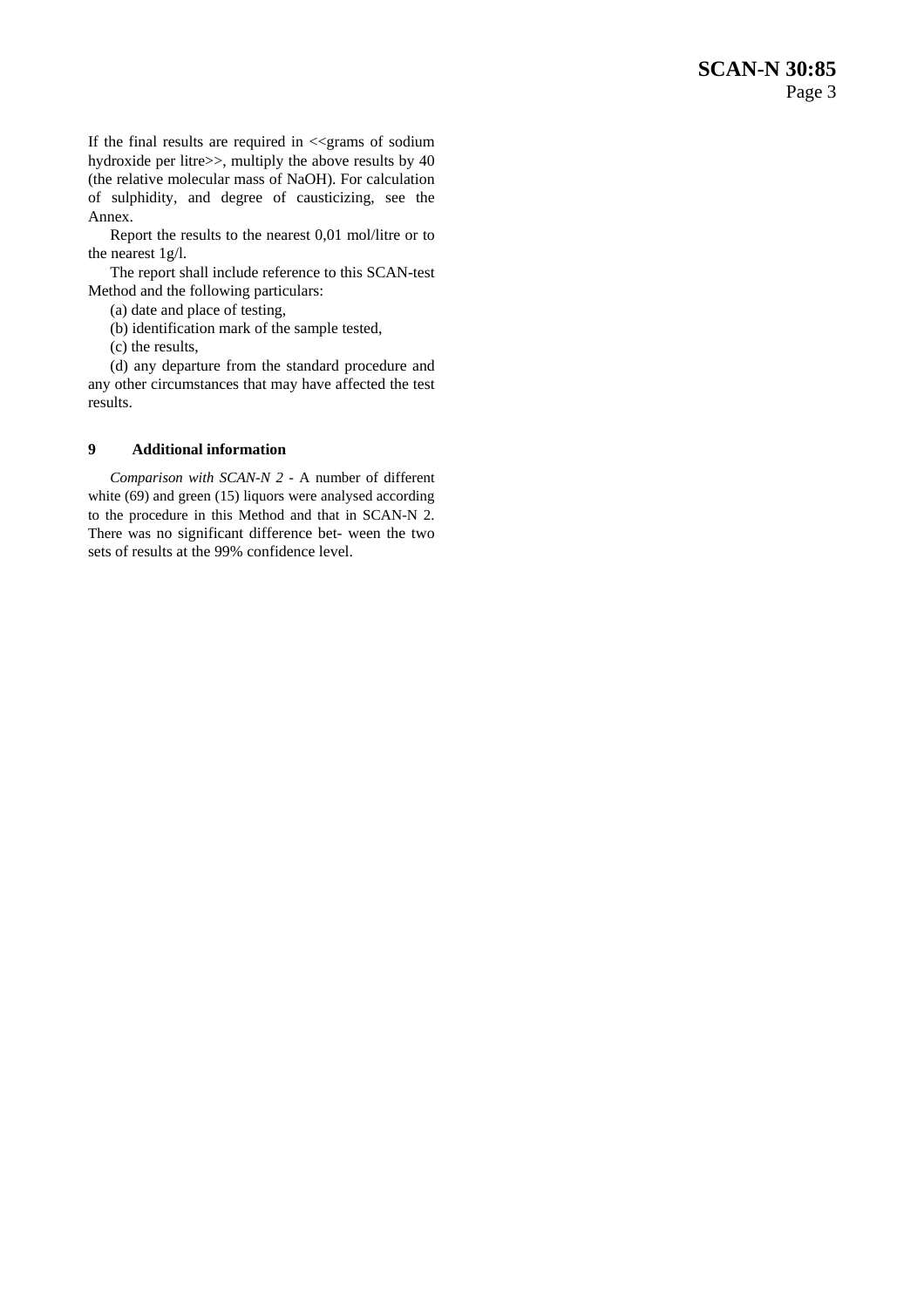If the final results are required in  $\ll$ grams of sodium hydroxide per litre>>, multiply the above results by 40 (the relative molecular mass of NaOH). For calculation of sulphidity, and degree of causticizing, see the Annex.

Report the results to the nearest 0,01 mol/litre or to the nearest 1g/l.

The report shall include reference to this SCAN-test Method and the following particulars:

(a) date and place of testing,

(b) identification mark of the sample tested,

(c) the results,

(d) any departure from the standard procedure and any other circumstances that may have affected the test results.

#### **9 Additional information**

*Comparison with SCAN-N 2 -* A number of different white (69) and green (15) liquors were analysed according to the procedure in this Method and that in SCAN-N 2. There was no significant difference bet- ween the two sets of results at the 99% confidence level.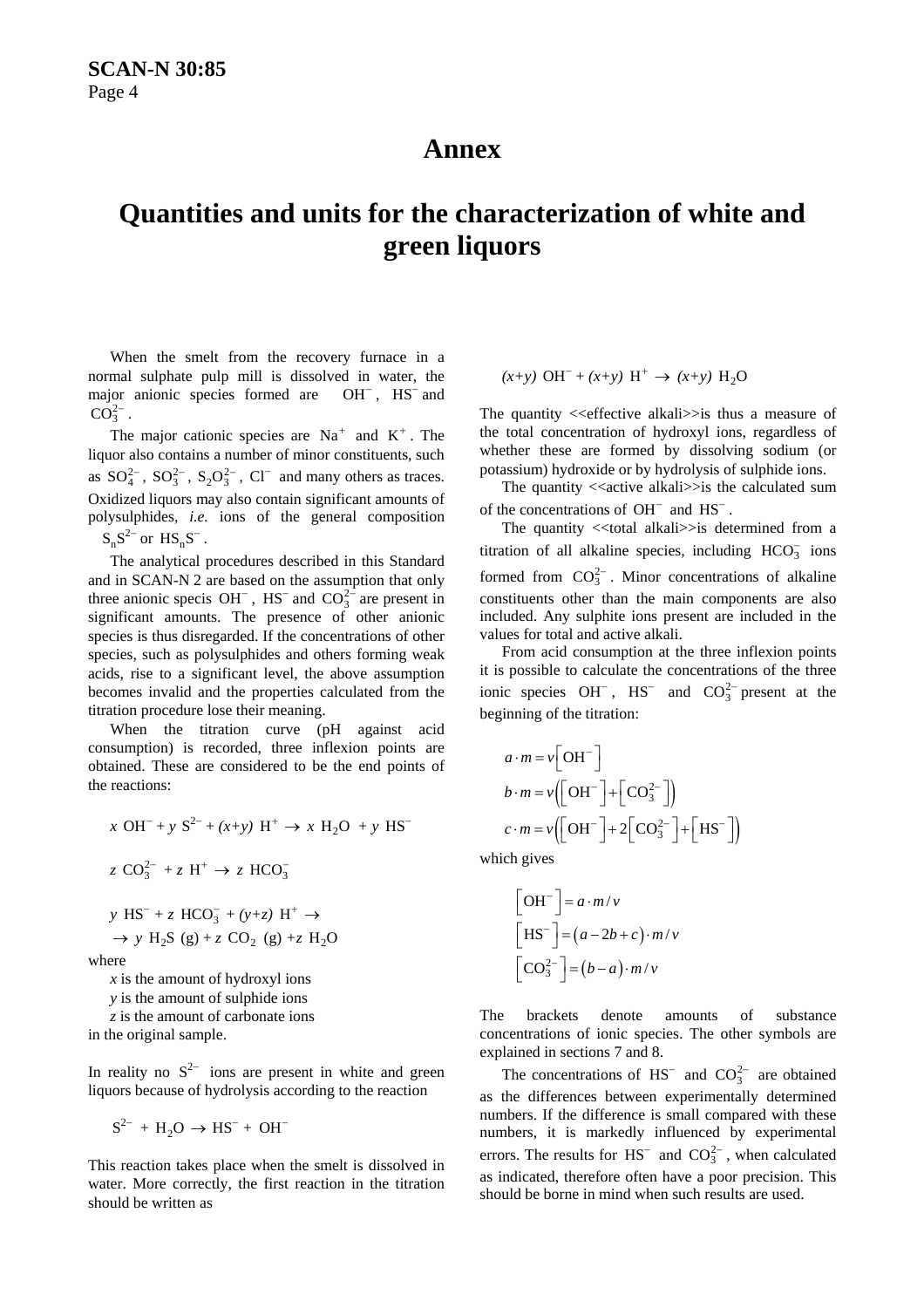# **Annex**

# **Quantities and units for the characterization of white and green liquors**

When the smelt from the recovery furnace in a normal sulphate pulp mill is dissolved in water, the major anionic species formed are  $OH^-$ ,  $HS^-$  and  $\overline{\text{CO}}_3^{2-}$ .

The major cationic species are  $Na<sup>+</sup>$  and  $K<sup>+</sup>$ . The liquor also contains a number of minor constituents, such as  $SO_4^{2-}$ ,  $SO_3^{2-}$ ,  $S_2O_3^{2-}$ ,  $Cl^-$  and many others as traces. Oxidized liquors may also contain significant amounts of polysulphides, *i.e.* ions of the general composition  $S_nS^{2-}$  or  $HS_nS^{-}$ .

The analytical procedures described in this Standard and in SCAN-N 2 are based on the assumption that only three anionic specis OH<sup>-</sup>, HS<sup>-</sup> and CO<sub>3</sub><sup>2</sup> are present in significant amounts. The presence of other anionic species is thus disregarded. If the concentrations of other species, such as polysulphides and others forming weak acids, rise to a significant level, the above assumption becomes invalid and the properties calculated from the titration procedure lose their meaning.

When the titration curve (pH against acid consumption) is recorded, three inflexion points are obtained. These are considered to be the end points of the reactions:

$$
x \text{ OH}^- + y \text{ S}^{2-} + (x+y) \text{ H}^+ \rightarrow x \text{ H}_2\text{O} + y \text{ HS}^-
$$
  
\n
$$
z \text{ CO}_3^{2-} + z \text{ H}^+ \rightarrow z \text{ HCO}_3^-
$$
  
\n
$$
y \text{ HS}^- + z \text{ HCO}_3^- + (y+z) \text{ H}^+ \rightarrow
$$
  
\n
$$
\rightarrow y \text{ H}_2\text{S} \text{ (g)} + z \text{ CO}_2 \text{ (g)} + z \text{ H}_2\text{O}
$$
  
\nhere

where

*x* is the amount of hydroxyl ions

*y* is the amount of sulphide ions

*z* is the amount of carbonate ions

in the original sample.

In reality no  $S^{2-}$  ions are present in white and green liquors because of hydrolysis according to the reaction

$$
S^{2-} + H_2O \rightarrow HS^- + OH^-
$$

This reaction takes place when the smelt is dissolved in water. More correctly, the first reaction in the titration should be written as

$$
(x+y)
$$
 OH<sup>-</sup> +  $(x+y)$  H<sup>+</sup>  $\rightarrow$   $(x+y)$  H<sub>2</sub>O

The quantity  $\leq$  effective alkali $\geq$  is thus a measure of the total concentration of hydroxyl ions, regardless of whether these are formed by dissolving sodium (or potassium) hydroxide or by hydrolysis of sulphide ions.

The quantity  $\langle \langle \rangle$  active alkali $\rangle$  is the calculated sum of the concentrations of  $OH^-$  and  $HS^-$ .

The quantity  $\ll$ total alkali $\gg$ is determined from a titration of all alkaline species, including  $HCO_3^-$  ions formed from  $CO_3^{2-}$ . Minor concentrations of alkaline constituents other than the main components are also included. Any sulphite ions present are included in the values for total and active alkali.

From acid consumption at the three inflexion points it is possible to calculate the concentrations of the three ionic species  $OH^-$ ,  $HS^-$  and  $CO_3^{2-}$  present at the beginning of the titration:

$$
a \cdot m = v \left[ \text{OH}^- \right]
$$
  
\n
$$
b \cdot m = v \left( \left[ \text{OH}^- \right] + \left[ \text{CO}_3^{2-} \right] \right)
$$
  
\n
$$
c \cdot m = v \left( \left[ \text{OH}^- \right] + 2 \left[ \text{CO}_3^{2-} \right] + \left[ \text{HS}^- \right] \right)
$$

which gives

$$
\begin{bmatrix} \mathbf{OH}^- \end{bmatrix} = a \cdot m/v
$$

$$
\begin{bmatrix} \mathbf{HS}^- \end{bmatrix} = (a - 2b + c) \cdot m/v
$$

$$
\begin{bmatrix} \mathbf{CO}_3^{2-} \end{bmatrix} = (b - a) \cdot m/v
$$

The brackets denote amounts of substance concentrations of ionic species. The other symbols are explained in sections 7 and 8.

The concentrations of  $HS^-$  and  $CO_3^{2-}$  are obtained as the differences between experimentally determined numbers. If the difference is small compared with these numbers, it is markedly influenced by experimental errors. The results for  $HS^-$  and  $CO_3^{2-}$ , when calculated as indicated, therefore often have a poor precision. This should be borne in mind when such results are used.